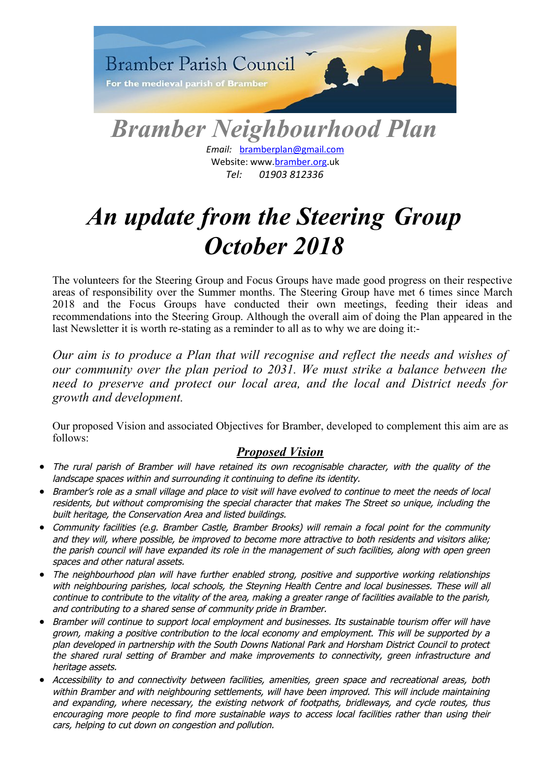

*Email:* [bramberplan@gmail.com](mailto:bramberplan@gmail.com)  Website: www[.bramber.org.](http://www.swabneighbourhoodplan.org/)uk *Tel: 01903 812336*

# *An update from the Steering Group October 2018*

The volunteers for the Steering Group and Focus Groups have made good progress on their respective areas of responsibility over the Summer months. The Steering Group have met 6 times since March 2018 and the Focus Groups have conducted their own meetings, feeding their ideas and recommendations into the Steering Group. Although the overall aim of doing the Plan appeared in the last Newsletter it is worth re-stating as a reminder to all as to why we are doing it:-

*Our aim is to produce a Plan that will recognise and reflect the needs and wishes of our community over the plan period to 2031. We must strike a balance between the need to preserve and protect our local area, and the local and District needs for growth and development.*

Our proposed Vision and associated Objectives for Bramber, developed to complement this aim are as follows:

## *Proposed Vision*

- The rural parish of Bramber will have retained its own recognisable character, with the quality of the landscape spaces within and surrounding it continuing to define its identity.
- Bramber's role as a small village and place to visit will have evolved to continue to meet the needs of local residents, but without compromising the special character that makes The Street so unique, including the built heritage, the Conservation Area and listed buildings.
- Community facilities (e.g. Bramber Castle, Bramber Brooks) will remain a focal point for the community and they will, where possible, be improved to become more attractive to both residents and visitors alike; the parish council will have expanded its role in the management of such facilities, along with open green spaces and other natural assets.
- The neighbourhood plan will have further enabled strong, positive and supportive working relationships with neighbouring parishes, local schools, the Steyning Health Centre and local businesses. These will all continue to contribute to the vitality of the area, making a greater range of facilities available to the parish, and contributing to a shared sense of community pride in Bramber.
- Bramber will continue to support local employment and businesses. Its sustainable tourism offer will have grown, making a positive contribution to the local economy and employment. This will be supported by a plan developed in partnership with the South Downs National Park and Horsham District Council to protect the shared rural setting of Bramber and make improvements to connectivity, green infrastructure and heritage assets.
- Accessibility to and connectivity between facilities, amenities, green space and recreational areas, both within Bramber and with neighbouring settlements, will have been improved. This will include maintaining and expanding, where necessary, the existing network of footpaths, bridleways, and cycle routes, thus encouraging more people to find more sustainable ways to access local facilities rather than using their cars, helping to cut down on congestion and pollution.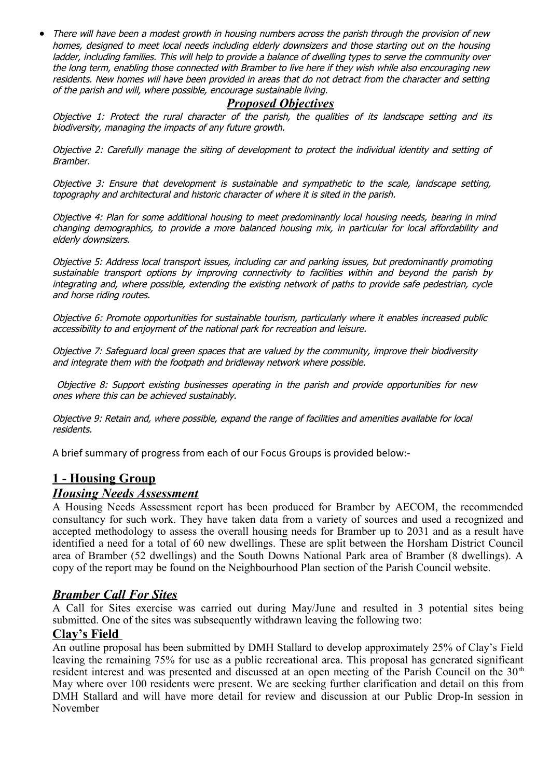• There will have been a modest growth in housing numbers across the parish through the provision of new homes, designed to meet local needs including elderly downsizers and those starting out on the housing ladder, including families. This will help to provide a balance of dwelling types to serve the community over the long term, enabling those connected with Bramber to live here if they wish while also encouraging new residents. New homes will have been provided in areas that do not detract from the character and setting of the parish and will, where possible, encourage sustainable living.

## *Proposed Objectives*

Objective 1: Protect the rural character of the parish, the qualities of its landscape setting and its biodiversity, managing the impacts of any future growth.

Objective 2: Carefully manage the siting of development to protect the individual identity and setting of Bramber.

Objective 3: Ensure that development is sustainable and sympathetic to the scale, landscape setting, topography and architectural and historic character of where it is sited in the parish.

Objective 4: Plan for some additional housing to meet predominantly local housing needs, bearing in mind changing demographics, to provide <sup>a</sup> more balanced housing mix, in particular for local affordability and elderly downsizers.

Objective 5: Address local transport issues, including car and parking issues, but predominantly promoting sustainable transport options by improving connectivity to facilities within and beyond the parish by integrating and, where possible, extending the existing network of paths to provide safe pedestrian, cycle and horse riding routes.

Objective 6: Promote opportunities for sustainable tourism, particularly where it enables increased public accessibility to and enjoyment of the national park for recreation and leisure.

Objective 7: Safeguard local green spaces that are valued by the community, improve their biodiversity and integrate them with the footpath and bridleway network where possible.

 Objective 8: Support existing businesses operating in the parish and provide opportunities for new ones where this can be achieved sustainably.

Objective 9: Retain and, where possible, expand the range of facilities and amenities available for local residents.

A brief summary of progress from each of our Focus Groups is provided below:-

## **1 - Housing Group**

### *Housing Needs Assessment*

A Housing Needs Assessment report has been produced for Bramber by AECOM, the recommended consultancy for such work. They have taken data from a variety of sources and used a recognized and accepted methodology to assess the overall housing needs for Bramber up to 2031 and as a result have identified a need for a total of 60 new dwellings. These are split between the Horsham District Council area of Bramber (52 dwellings) and the South Downs National Park area of Bramber (8 dwellings). A copy of the report may be found on the Neighbourhood Plan section of the Parish Council website.

### *Bramber Call For Sites*

A Call for Sites exercise was carried out during May/June and resulted in 3 potential sites being submitted. One of the sites was subsequently withdrawn leaving the following two:

### **Clay's Field**

An outline proposal has been submitted by DMH Stallard to develop approximately 25% of Clay's Field leaving the remaining 75% for use as a public recreational area. This proposal has generated significant resident interest and was presented and discussed at an open meeting of the Parish Council on the  $30<sup>th</sup>$ May where over 100 residents were present. We are seeking further clarification and detail on this from DMH Stallard and will have more detail for review and discussion at our Public Drop-In session in November